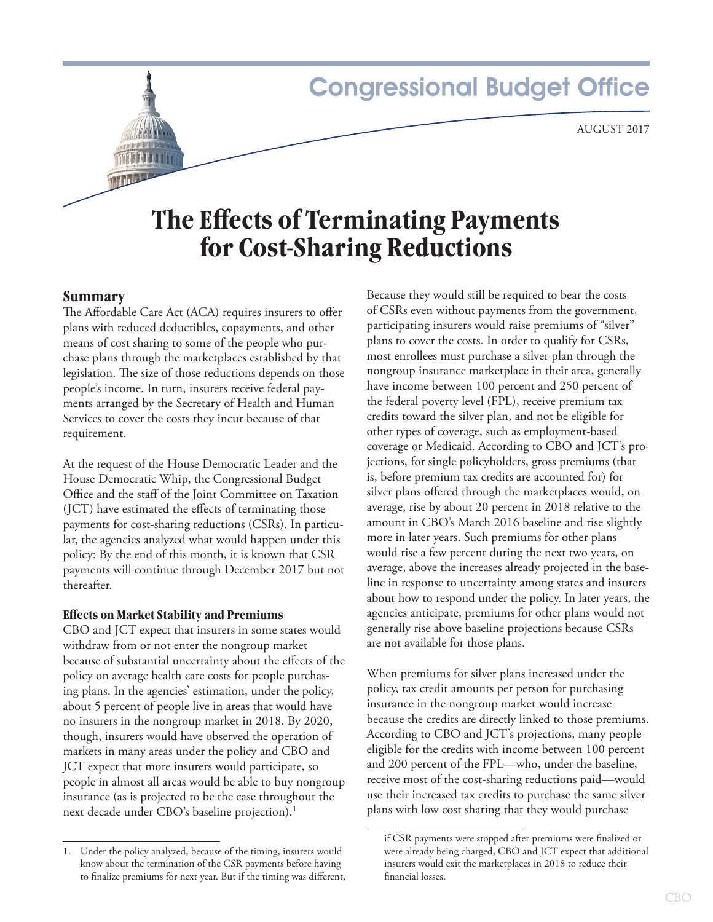# **Congressional Budget Office**

# **The Effects of Terminating Payments for Cost-Sharing Reductions**

# **Summary**

The Affordable Care Act (ACA) requires insurers to offer plans with reduced deductibles, copayments, and other means of cost sharing to some of the people who purchase plans through the marketplaces established by that legislation. The size of those reductions depends on those people's income. In turn, insurers receive federal payments arranged by the Secretary of Health and Human Services to cover the costs they incur because of that requirement.

At the request of the House Democratic Leader and the House Democratic Whip, the Congressional Budget Office and the staff of the Joint Committee on Taxation (JCT) have estimated the effects of terminating those payments for cost-sharing reductions (CSRs). In particular, the agencies analyzed what would happen under this policy: By the end of this month, it is known that CSR payments will continue through December 2017 but not thereafter.

#### **Effects on Market Stability and Premiums**

CBO and JCT expect that insurers in some states would withdraw from or not enter the nongroup market because of substantial uncertainty about the effects of the policy on average health care costs for people purchasing plans. In the agencies' estimation, under the policy, about 5 percent of people live in areas that would have no insurers in the nongroup market in 2018. By 2020, though, insurers would have observed the operation of markets in many areas under the policy and CBO and JCT expect that more insurers would participate, so people in almost all areas would be able to buy nongroup insurance (as is projected to be the case throughout the next decade under CBO's baseline projection).<sup>1</sup>

Because they would still be required to bear the costs of CSRs even without payments from the government, participating insurers would raise premiums of "silver" plans to cover the costs. In order to qualify for CSRs, most enrollees must purchase a silver plan through the nongroup insurance marketplace in their area, generally have income between 100 percent and 250 percent of the federal poverty level (FPL), receive premium tax credits toward the silver plan, and not be eligible for other types of coverage, such as employment-based coverage or Medicaid. According to CBO and JCT's projections, for single policyholders, gross premiums (that is, before premium tax credits are accounted for) for silver plans offered through the marketplaces would, on average, rise by about 20 percent in 2018 relative to the amount in CBO's March 2016 baseline and rise slightly more in later years. Such premiums for other plans would rise a few percent during the next two years, on average, above the increases already projected in the baseline in response to uncertainty among states and insurers about how to respond under the policy. In later years, the agencies anticipate, premiums for other plans would not generally rise above baseline projections because CSRs are not available for those plans.

When premiums for silver plans increased under the policy, tax credit amounts per person for purchasing insurance in the nongroup market would increase because the credits are directly linked to those premiums. According to CBO and JCT's projections, many people eligible for the credits with income between 100 percent and 200 percent of the FPL—who, under the baseline, receive most of the cost-sharing reductions paid—would use their increased tax credits to purchase the same silver plans with low cost sharing that they would purchase

<sup>1.</sup> Under the policy analyzed, because of the timing, insurers would know about the termination of the CSR payments before having to finalize premiums for next year. But if the timing was different,

if CSR payments were stopped after premiums were finalized or were already being charged, CBO and JCT expect that additional insurers would exit the marketplaces in 2018 to reduce their financial losses.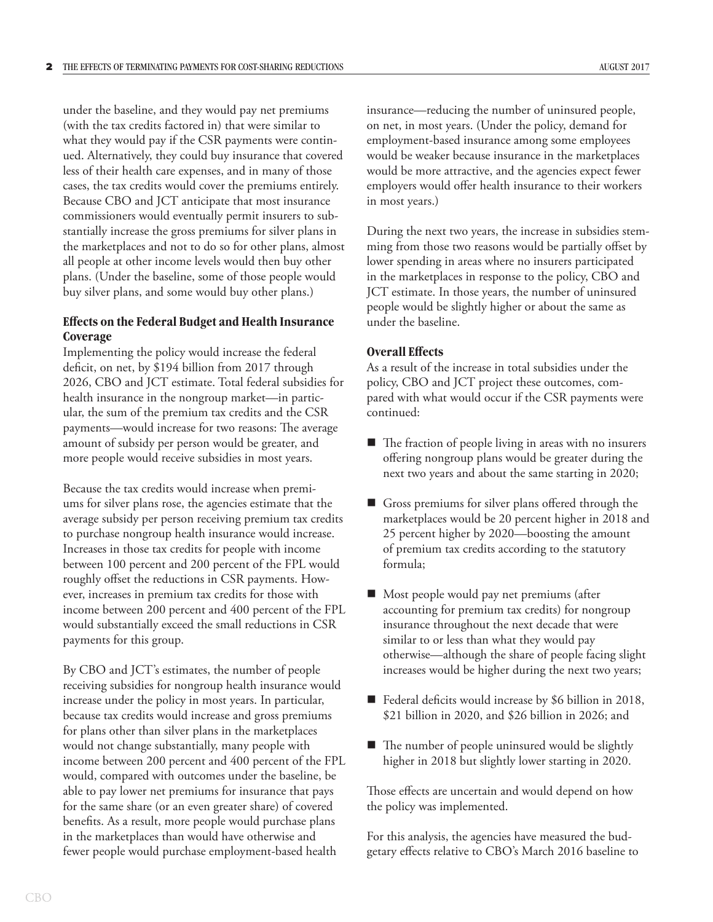under the baseline, and they would pay net premiums (with the tax credits factored in) that were similar to what they would pay if the CSR payments were continued. Alternatively, they could buy insurance that covered less of their health care expenses, and in many of those cases, the tax credits would cover the premiums entirely. Because CBO and JCT anticipate that most insurance commissioners would eventually permit insurers to substantially increase the gross premiums for silver plans in the marketplaces and not to do so for other plans, almost all people at other income levels would then buy other plans. (Under the baseline, some of those people would buy silver plans, and some would buy other plans.)

## **Effects on the Federal Budget and Health Insurance Coverage**

Implementing the policy would increase the federal deficit, on net, by \$194 billion from 2017 through 2026, CBO and JCT estimate. Total federal subsidies for health insurance in the nongroup market—in particular, the sum of the premium tax credits and the CSR payments—would increase for two reasons: The average amount of subsidy per person would be greater, and more people would receive subsidies in most years.

Because the tax credits would increase when premiums for silver plans rose, the agencies estimate that the average subsidy per person receiving premium tax credits to purchase nongroup health insurance would increase. Increases in those tax credits for people with income between 100 percent and 200 percent of the FPL would roughly offset the reductions in CSR payments. However, increases in premium tax credits for those with income between 200 percent and 400 percent of the FPL would substantially exceed the small reductions in CSR payments for this group.

By CBO and JCT's estimates, the number of people receiving subsidies for nongroup health insurance would increase under the policy in most years. In particular, because tax credits would increase and gross premiums for plans other than silver plans in the marketplaces would not change substantially, many people with income between 200 percent and 400 percent of the FPL would, compared with outcomes under the baseline, be able to pay lower net premiums for insurance that pays for the same share (or an even greater share) of covered benefits. As a result, more people would purchase plans in the marketplaces than would have otherwise and fewer people would purchase employment-based health

insurance—reducing the number of uninsured people, on net, in most years. (Under the policy, demand for employment-based insurance among some employees would be weaker because insurance in the marketplaces would be more attractive, and the agencies expect fewer employers would offer health insurance to their workers in most years.)

During the next two years, the increase in subsidies stemming from those two reasons would be partially offset by lower spending in areas where no insurers participated in the marketplaces in response to the policy, CBO and JCT estimate. In those years, the number of uninsured people would be slightly higher or about the same as under the baseline.

### **Overall Effects**

As a result of the increase in total subsidies under the policy, CBO and JCT project these outcomes, compared with what would occur if the CSR payments were continued:

- $\blacksquare$  The fraction of people living in areas with no insurers offering nongroup plans would be greater during the next two years and about the same starting in 2020;
- Gross premiums for silver plans offered through the marketplaces would be 20 percent higher in 2018 and 25 percent higher by 2020—boosting the amount of premium tax credits according to the statutory formula;
- Most people would pay net premiums (after accounting for premium tax credits) for nongroup insurance throughout the next decade that were similar to or less than what they would pay otherwise—although the share of people facing slight increases would be higher during the next two years;
- Federal deficits would increase by \$6 billion in 2018, \$21 billion in 2020, and \$26 billion in 2026; and
- The number of people uninsured would be slightly higher in 2018 but slightly lower starting in 2020.

Those effects are uncertain and would depend on how the policy was implemented.

For this analysis, the agencies have measured the budgetary effects relative to CBO's March 2016 baseline to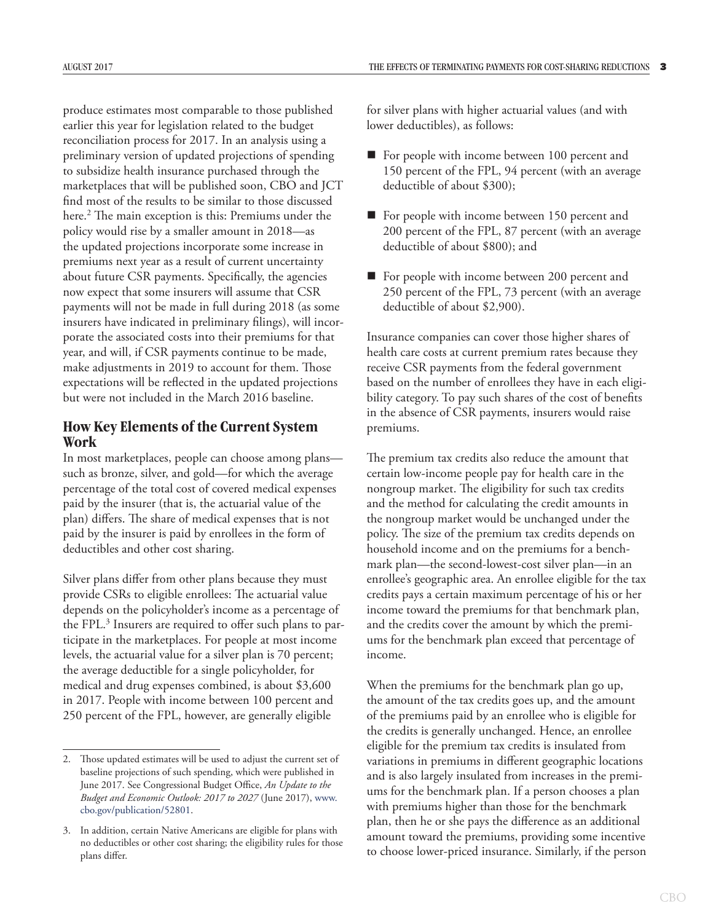produce estimates most comparable to those published earlier this year for legislation related to the budget reconciliation process for 2017. In an analysis using a preliminary version of updated projections of spending to subsidize health insurance purchased through the marketplaces that will be published soon, CBO and JCT find most of the results to be similar to those discussed here.2 The main exception is this: Premiums under the policy would rise by a smaller amount in 2018—as the updated projections incorporate some increase in premiums next year as a result of current uncertainty about future CSR payments. Specifically, the agencies now expect that some insurers will assume that CSR payments will not be made in full during 2018 (as some insurers have indicated in preliminary filings), will incorporate the associated costs into their premiums for that year, and will, if CSR payments continue to be made, make adjustments in 2019 to account for them. Those expectations will be reflected in the updated projections but were not included in the March 2016 baseline.

# **How Key Elements of the Current System Work**

In most marketplaces, people can choose among plans such as bronze, silver, and gold—for which the average percentage of the total cost of covered medical expenses paid by the insurer (that is, the actuarial value of the plan) differs. The share of medical expenses that is not paid by the insurer is paid by enrollees in the form of deductibles and other cost sharing.

Silver plans differ from other plans because they must provide CSRs to eligible enrollees: The actuarial value depends on the policyholder's income as a percentage of the FPL.<sup>3</sup> Insurers are required to offer such plans to participate in the marketplaces. For people at most income levels, the actuarial value for a silver plan is 70 percent; the average deductible for a single policyholder, for medical and drug expenses combined, is about \$3,600 in 2017. People with income between 100 percent and 250 percent of the FPL, however, are generally eligible

for silver plans with higher actuarial values (and with lower deductibles), as follows:

- For people with income between 100 percent and 150 percent of the FPL, 94 percent (with an average deductible of about \$300);
- For people with income between 150 percent and 200 percent of the FPL, 87 percent (with an average deductible of about \$800); and
- For people with income between 200 percent and 250 percent of the FPL, 73 percent (with an average deductible of about \$2,900).

Insurance companies can cover those higher shares of health care costs at current premium rates because they receive CSR payments from the federal government based on the number of enrollees they have in each eligibility category. To pay such shares of the cost of benefits in the absence of CSR payments, insurers would raise premiums.

The premium tax credits also reduce the amount that certain low-income people pay for health care in the nongroup market. The eligibility for such tax credits and the method for calculating the credit amounts in the nongroup market would be unchanged under the policy. The size of the premium tax credits depends on household income and on the premiums for a benchmark plan—the second-lowest-cost silver plan—in an enrollee's geographic area. An enrollee eligible for the tax credits pays a certain maximum percentage of his or her income toward the premiums for that benchmark plan, and the credits cover the amount by which the premiums for the benchmark plan exceed that percentage of income.

When the premiums for the benchmark plan go up, the amount of the tax credits goes up, and the amount of the premiums paid by an enrollee who is eligible for the credits is generally unchanged. Hence, an enrollee eligible for the premium tax credits is insulated from variations in premiums in different geographic locations and is also largely insulated from increases in the premiums for the benchmark plan. If a person chooses a plan with premiums higher than those for the benchmark plan, then he or she pays the difference as an additional amount toward the premiums, providing some incentive to choose lower-priced insurance. Similarly, if the person

Those updated estimates will be used to adjust the current set of baseline projections of such spending, which were published in June 2017. See Congressional Budget Office, *An Update to the Budget and Economic Outlook: 2017 to 2027* (June 2017), [www.](http://www.cbo.gov/publication/52801) [cbo.gov/publication/52801](http://www.cbo.gov/publication/52801).

<sup>3.</sup> In addition, certain Native Americans are eligible for plans with no deductibles or other cost sharing; the eligibility rules for those plans differ.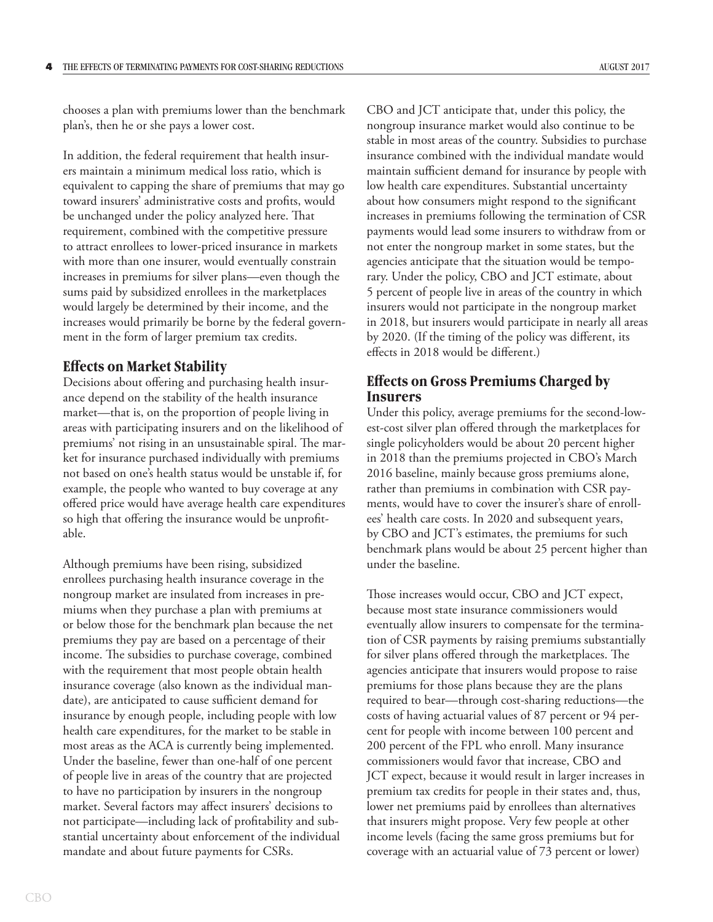chooses a plan with premiums lower than the benchmark plan's, then he or she pays a lower cost.

In addition, the federal requirement that health insurers maintain a minimum medical loss ratio, which is equivalent to capping the share of premiums that may go toward insurers' administrative costs and profits, would be unchanged under the policy analyzed here. That requirement, combined with the competitive pressure to attract enrollees to lower-priced insurance in markets with more than one insurer, would eventually constrain increases in premiums for silver plans—even though the sums paid by subsidized enrollees in the marketplaces would largely be determined by their income, and the increases would primarily be borne by the federal government in the form of larger premium tax credits.

# **Effects on Market Stability**

Decisions about offering and purchasing health insurance depend on the stability of the health insurance market—that is, on the proportion of people living in areas with participating insurers and on the likelihood of premiums' not rising in an unsustainable spiral. The market for insurance purchased individually with premiums not based on one's health status would be unstable if, for example, the people who wanted to buy coverage at any offered price would have average health care expenditures so high that offering the insurance would be unprofitable.

Although premiums have been rising, subsidized enrollees purchasing health insurance coverage in the nongroup market are insulated from increases in premiums when they purchase a plan with premiums at or below those for the benchmark plan because the net premiums they pay are based on a percentage of their income. The subsidies to purchase coverage, combined with the requirement that most people obtain health insurance coverage (also known as the individual mandate), are anticipated to cause sufficient demand for insurance by enough people, including people with low health care expenditures, for the market to be stable in most areas as the ACA is currently being implemented. Under the baseline, fewer than one-half of one percent of people live in areas of the country that are projected to have no participation by insurers in the nongroup market. Several factors may affect insurers' decisions to not participate—including lack of profitability and substantial uncertainty about enforcement of the individual mandate and about future payments for CSRs.

CBO and JCT anticipate that, under this policy, the nongroup insurance market would also continue to be stable in most areas of the country. Subsidies to purchase insurance combined with the individual mandate would maintain sufficient demand for insurance by people with low health care expenditures. Substantial uncertainty about how consumers might respond to the significant increases in premiums following the termination of CSR payments would lead some insurers to withdraw from or not enter the nongroup market in some states, but the agencies anticipate that the situation would be temporary. Under the policy, CBO and JCT estimate, about 5 percent of people live in areas of the country in which insurers would not participate in the nongroup market in 2018, but insurers would participate in nearly all areas by 2020. (If the timing of the policy was different, its effects in 2018 would be different.)

# **Effects on Gross Premiums Charged by Insurers**

Under this policy, average premiums for the second-lowest-cost silver plan offered through the marketplaces for single policyholders would be about 20 percent higher in 2018 than the premiums projected in CBO's March 2016 baseline, mainly because gross premiums alone, rather than premiums in combination with CSR payments, would have to cover the insurer's share of enrollees' health care costs. In 2020 and subsequent years, by CBO and JCT's estimates, the premiums for such benchmark plans would be about 25 percent higher than under the baseline.

Those increases would occur, CBO and JCT expect, because most state insurance commissioners would eventually allow insurers to compensate for the termination of CSR payments by raising premiums substantially for silver plans offered through the marketplaces. The agencies anticipate that insurers would propose to raise premiums for those plans because they are the plans required to bear—through cost-sharing reductions—the costs of having actuarial values of 87 percent or 94 percent for people with income between 100 percent and 200 percent of the FPL who enroll. Many insurance commissioners would favor that increase, CBO and JCT expect, because it would result in larger increases in premium tax credits for people in their states and, thus, lower net premiums paid by enrollees than alternatives that insurers might propose. Very few people at other income levels (facing the same gross premiums but for coverage with an actuarial value of 73 percent or lower)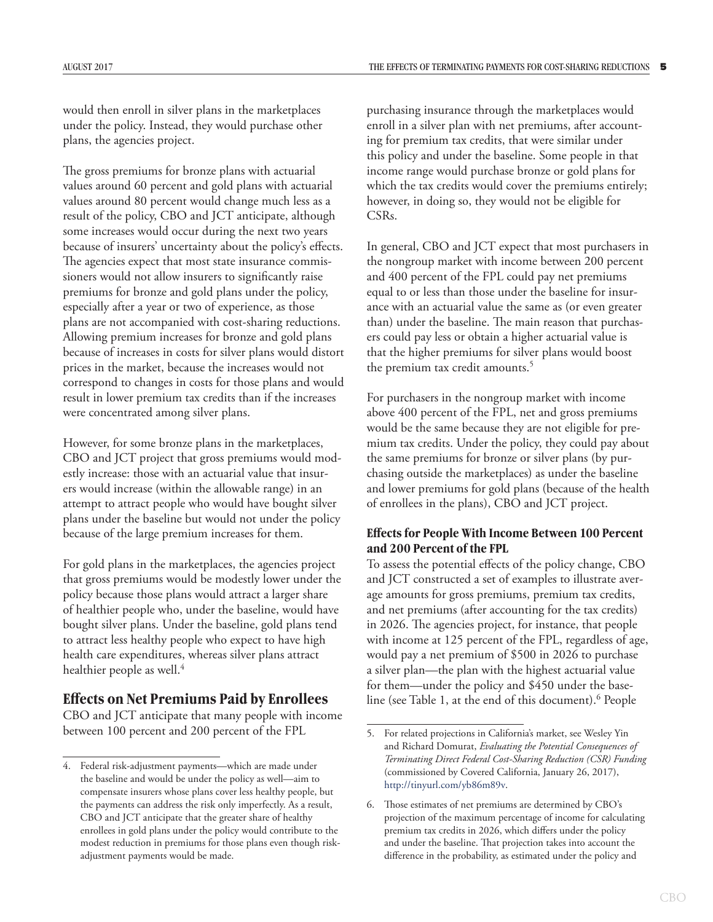would then enroll in silver plans in the marketplaces under the policy. Instead, they would purchase other plans, the agencies project.

The gross premiums for bronze plans with actuarial values around 60 percent and gold plans with actuarial values around 80 percent would change much less as a result of the policy, CBO and JCT anticipate, although some increases would occur during the next two years because of insurers' uncertainty about the policy's effects. The agencies expect that most state insurance commissioners would not allow insurers to significantly raise premiums for bronze and gold plans under the policy, especially after a year or two of experience, as those plans are not accompanied with cost-sharing reductions. Allowing premium increases for bronze and gold plans because of increases in costs for silver plans would distort prices in the market, because the increases would not correspond to changes in costs for those plans and would result in lower premium tax credits than if the increases were concentrated among silver plans.

However, for some bronze plans in the marketplaces, CBO and JCT project that gross premiums would modestly increase: those with an actuarial value that insurers would increase (within the allowable range) in an attempt to attract people who would have bought silver plans under the baseline but would not under the policy because of the large premium increases for them.

For gold plans in the marketplaces, the agencies project that gross premiums would be modestly lower under the policy because those plans would attract a larger share of healthier people who, under the baseline, would have bought silver plans. Under the baseline, gold plans tend to attract less healthy people who expect to have high health care expenditures, whereas silver plans attract healthier people as well.<sup>4</sup>

# **Effects on Net Premiums Paid by Enrollees**

CBO and JCT anticipate that many people with income between 100 percent and 200 percent of the FPL

purchasing insurance through the marketplaces would enroll in a silver plan with net premiums, after accounting for premium tax credits, that were similar under this policy and under the baseline. Some people in that income range would purchase bronze or gold plans for which the tax credits would cover the premiums entirely; however, in doing so, they would not be eligible for CSRs.

In general, CBO and JCT expect that most purchasers in the nongroup market with income between 200 percent and 400 percent of the FPL could pay net premiums equal to or less than those under the baseline for insurance with an actuarial value the same as (or even greater than) under the baseline. The main reason that purchasers could pay less or obtain a higher actuarial value is that the higher premiums for silver plans would boost the premium tax credit amounts.<sup>5</sup>

For purchasers in the nongroup market with income above 400 percent of the FPL, net and gross premiums would be the same because they are not eligible for premium tax credits. Under the policy, they could pay about the same premiums for bronze or silver plans (by purchasing outside the marketplaces) as under the baseline and lower premiums for gold plans (because of the health of enrollees in the plans), CBO and JCT project.

# **Effects for People With Income Between 100 Percent and 200 Percent of the FPL**

To assess the potential effects of the policy change, CBO and JCT constructed a set of examples to illustrate average amounts for gross premiums, premium tax credits, and net premiums (after accounting for the tax credits) in 2026. The agencies project, for instance, that people with income at 125 percent of the FPL, regardless of age, would pay a net premium of \$500 in 2026 to purchase a silver plan—the plan with the highest actuarial value for them—under the policy and \$450 under the baseline (see Table 1, at the end of this document).6 People

<sup>4.</sup> Federal risk-adjustment payments—which are made under the baseline and would be under the policy as well—aim to compensate insurers whose plans cover less healthy people, but the payments can address the risk only imperfectly. As a result, CBO and JCT anticipate that the greater share of healthy enrollees in gold plans under the policy would contribute to the modest reduction in premiums for those plans even though riskadjustment payments would be made.

<sup>5.</sup> For related projections in California's market, see Wesley Yin and Richard Domurat, *Evaluating the Potential Consequences of Terminating Direct Federal Cost-Sharing Reduction (CSR) Funding* (commissioned by Covered California, January 26, 2017), <http://tinyurl.com/yb86m89v>.

<sup>6.</sup> Those estimates of net premiums are determined by CBO's projection of the maximum percentage of income for calculating premium tax credits in 2026, which differs under the policy and under the baseline. That projection takes into account the difference in the probability, as estimated under the policy and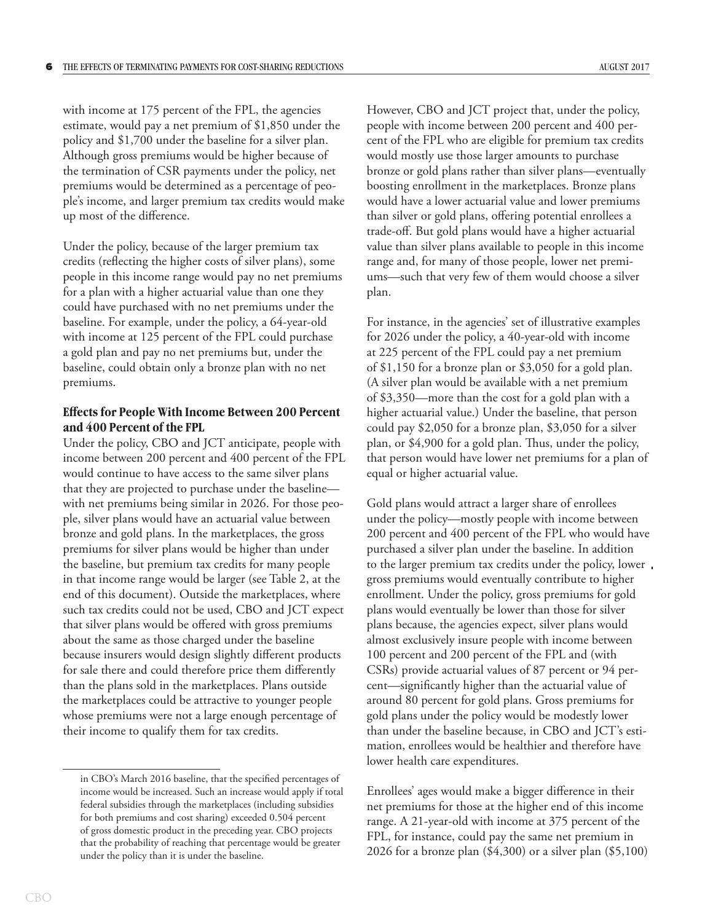with income at 175 percent of the FPL, the agencies estimate, would pay a net premium of \$1,850 under the policy and \$1,700 under the baseline for a silver plan. Although gross premiums would be higher because of the termination of CSR payments under the policy, net premiums would be determined as a percentage of people's income, and larger premium tax credits would make up most of the difference.

Under the policy, because of the larger premium tax credits (reflecting the higher costs of silver plans), some people in this income range would pay no net premiums for a plan with a higher actuarial value than one they could have purchased with no net premiums under the baseline. For example, under the policy, a 64-year-old with income at 125 percent of the FPL could purchase a gold plan and pay no net premiums but, under the baseline, could obtain only a bronze plan with no net premiums.

# **Effects for People With Income Between 200 Percent and 400 Percent of the FPL**

Under the policy, CBO and JCT anticipate, people with income between 200 percent and 400 percent of the FPL would continue to have access to the same silver plans that they are projected to purchase under the baseline with net premiums being similar in 2026. For those people, silver plans would have an actuarial value between bronze and gold plans. In the marketplaces, the gross premiums for silver plans would be higher than under the baseline, but premium tax credits for many people in that income range would be larger (see Table 2, at the end of this document). Outside the marketplaces, where such tax credits could not be used, CBO and JCT expect that silver plans would be offered with gross premiums about the same as those charged under the baseline because insurers would design slightly different products for sale there and could therefore price them differently than the plans sold in the marketplaces. Plans outside the marketplaces could be attractive to younger people whose premiums were not a large enough percentage of their income to qualify them for tax credits.

However, CBO and JCT project that, under the policy, people with income between 200 percent and 400 percent of the FPL who are eligible for premium tax credits would mostly use those larger amounts to purchase bronze or gold plans rather than silver plans—eventually boosting enrollment in the marketplaces. Bronze plans would have a lower actuarial value and lower premiums than silver or gold plans, offering potential enrollees a trade-off. But gold plans would have a higher actuarial value than silver plans available to people in this income range and, for many of those people, lower net premiums—such that very few of them would choose a silver plan.

For instance, in the agencies' set of illustrative examples for 2026 under the policy, a 40-year-old with income at 225 percent of the FPL could pay a net premium of \$1,150 for a bronze plan or \$3,050 for a gold plan. (A silver plan would be available with a net premium of \$3,350—more than the cost for a gold plan with a higher actuarial value.) Under the baseline, that person could pay \$2,050 for a bronze plan, \$3,050 for a silver plan, or \$4,900 for a gold plan. Thus, under the policy, that person would have lower net premiums for a plan of equal or higher actuarial value.

Gold plans would attract a larger share of enrollees under the policy—mostly people with income between 200 percent and 400 percent of the FPL who would have purchased a silver plan under the baseline. In addition to the larger premium tax credits under the policy, lower gross premiums would eventually contribute to higher enrollment. Under the policy, gross premiums for gold plans would eventually be lower than those for silver plans because, the agencies expect, silver plans would almost exclusively insure people with income between 100 percent and 200 percent of the FPL and (with CSRs) provide actuarial values of 87 percent or 94 percent—significantly higher than the actuarial value of around 80 percent for gold plans. Gross premiums for gold plans under the policy would be modestly lower than under the baseline because, in CBO and JCT's estimation, enrollees would be healthier and therefore have lower health care expenditures.

Enrollees' ages would make a bigger difference in their net premiums for those at the higher end of this income range. A 21-year-old with income at 375 percent of the FPL, for instance, could pay the same net premium in 2026 for a bronze plan (\$4,300) or a silver plan (\$5,100)

in CBO's March 2016 baseline, that the specified percentages of income would be increased. Such an increase would apply if total federal subsidies through the marketplaces (including subsidies for both premiums and cost sharing) exceeded 0.504 percent of gross domestic product in the preceding year. CBO projects that the probability of reaching that percentage would be greater under the policy than it is under the baseline.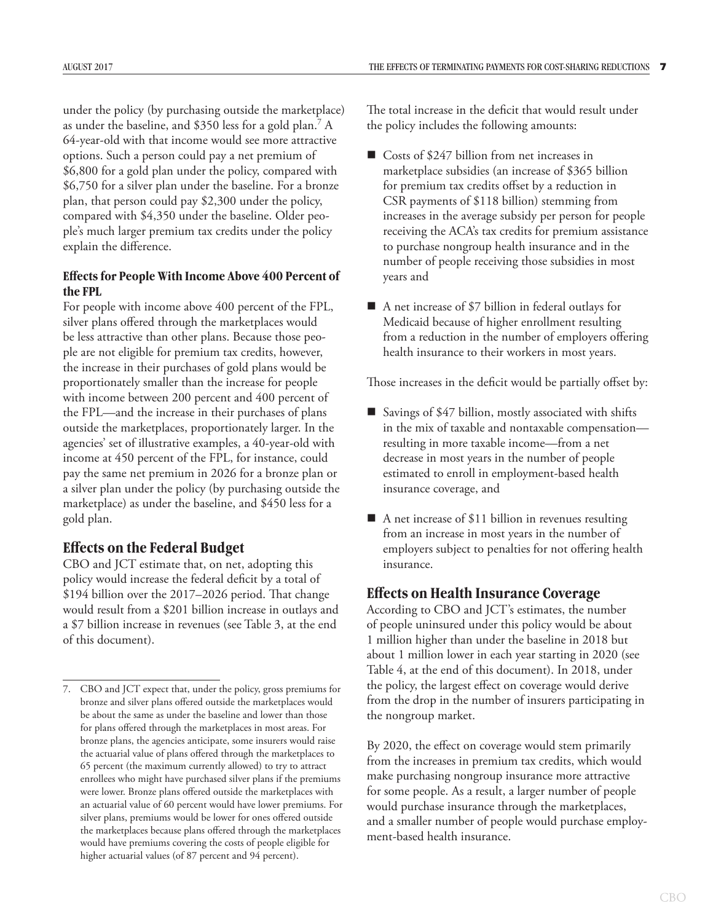under the policy (by purchasing outside the marketplace) as under the baseline, and \$350 less for a gold plan.7 A 64-year-old with that income would see more attractive options. Such a person could pay a net premium of \$6,800 for a gold plan under the policy, compared with \$6,750 for a silver plan under the baseline. For a bronze plan, that person could pay \$2,300 under the policy, compared with \$4,350 under the baseline. Older people's much larger premium tax credits under the policy explain the difference.

# **Effects for People With Income Above 400 Percent of the FPL**

For people with income above 400 percent of the FPL, silver plans offered through the marketplaces would be less attractive than other plans. Because those people are not eligible for premium tax credits, however, the increase in their purchases of gold plans would be proportionately smaller than the increase for people with income between 200 percent and 400 percent of the FPL—and the increase in their purchases of plans outside the marketplaces, proportionately larger. In the agencies' set of illustrative examples, a 40-year-old with income at 450 percent of the FPL, for instance, could pay the same net premium in 2026 for a bronze plan or a silver plan under the policy (by purchasing outside the marketplace) as under the baseline, and \$450 less for a gold plan.

# **Effects on the Federal Budget**

CBO and JCT estimate that, on net, adopting this policy would increase the federal deficit by a total of \$194 billion over the 2017–2026 period. That change would result from a \$201 billion increase in outlays and a \$7 billion increase in revenues (see Table 3, at the end of this document).

The total increase in the deficit that would result under the policy includes the following amounts:

- Costs of \$247 billion from net increases in marketplace subsidies (an increase of \$365 billion for premium tax credits offset by a reduction in CSR payments of \$118 billion) stemming from increases in the average subsidy per person for people receiving the ACA's tax credits for premium assistance to purchase nongroup health insurance and in the number of people receiving those subsidies in most years and
- A net increase of \$7 billion in federal outlays for Medicaid because of higher enrollment resulting from a reduction in the number of employers offering health insurance to their workers in most years.

Those increases in the deficit would be partially offset by:

- Savings of \$47 billion, mostly associated with shifts in the mix of taxable and nontaxable compensation resulting in more taxable income—from a net decrease in most years in the number of people estimated to enroll in employment-based health insurance coverage, and
- A net increase of \$11 billion in revenues resulting from an increase in most years in the number of employers subject to penalties for not offering health insurance.

# **Effects on Health Insurance Coverage**

According to CBO and JCT's estimates, the number of people uninsured under this policy would be about 1 million higher than under the baseline in 2018 but about 1 million lower in each year starting in 2020 (see Table 4, at the end of this document). In 2018, under the policy, the largest effect on coverage would derive from the drop in the number of insurers participating in the nongroup market.

By 2020, the effect on coverage would stem primarily from the increases in premium tax credits, which would make purchasing nongroup insurance more attractive for some people. As a result, a larger number of people would purchase insurance through the marketplaces, and a smaller number of people would purchase employment-based health insurance.

<sup>7.</sup> CBO and JCT expect that, under the policy, gross premiums for bronze and silver plans offered outside the marketplaces would be about the same as under the baseline and lower than those for plans offered through the marketplaces in most areas. For bronze plans, the agencies anticipate, some insurers would raise the actuarial value of plans offered through the marketplaces to 65 percent (the maximum currently allowed) to try to attract enrollees who might have purchased silver plans if the premiums were lower. Bronze plans offered outside the marketplaces with an actuarial value of 60 percent would have lower premiums. For silver plans, premiums would be lower for ones offered outside the marketplaces because plans offered through the marketplaces would have premiums covering the costs of people eligible for higher actuarial values (of 87 percent and 94 percent).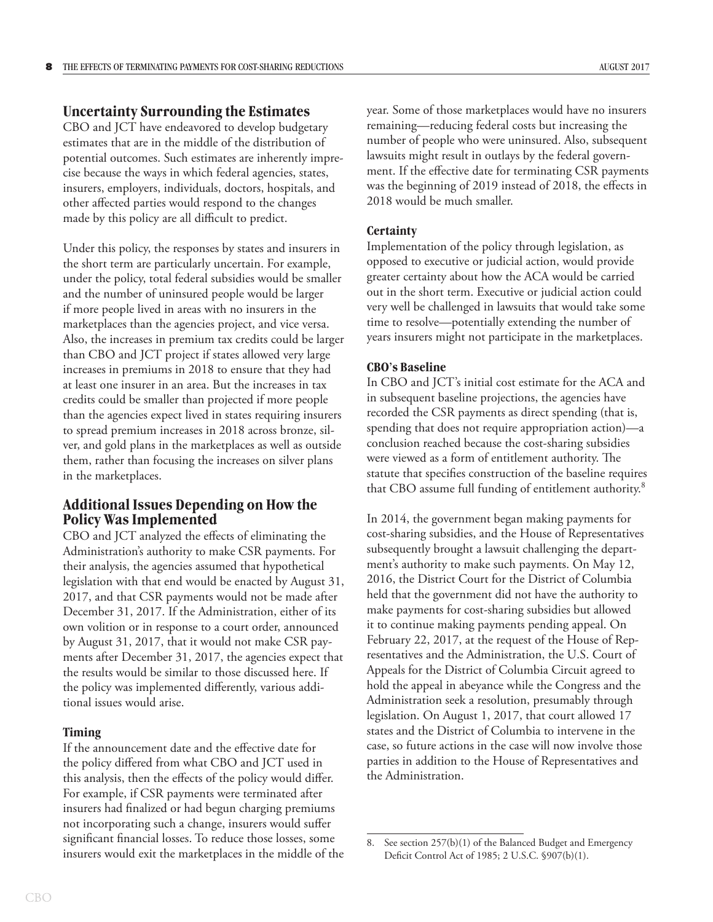## **Uncertainty Surrounding the Estimates**

CBO and JCT have endeavored to develop budgetary estimates that are in the middle of the distribution of potential outcomes. Such estimates are inherently imprecise because the ways in which federal agencies, states, insurers, employers, individuals, doctors, hospitals, and other affected parties would respond to the changes made by this policy are all difficult to predict.

Under this policy, the responses by states and insurers in the short term are particularly uncertain. For example, under the policy, total federal subsidies would be smaller and the number of uninsured people would be larger if more people lived in areas with no insurers in the marketplaces than the agencies project, and vice versa. Also, the increases in premium tax credits could be larger than CBO and JCT project if states allowed very large increases in premiums in 2018 to ensure that they had at least one insurer in an area. But the increases in tax credits could be smaller than projected if more people than the agencies expect lived in states requiring insurers to spread premium increases in 2018 across bronze, silver, and gold plans in the marketplaces as well as outside them, rather than focusing the increases on silver plans in the marketplaces.

# **Additional Issues Depending on How the Policy Was Implemented**

CBO and JCT analyzed the effects of eliminating the Administration's authority to make CSR payments. For their analysis, the agencies assumed that hypothetical legislation with that end would be enacted by August 31, 2017, and that CSR payments would not be made after December 31, 2017. If the Administration, either of its own volition or in response to a court order, announced by August 31, 2017, that it would not make CSR payments after December 31, 2017, the agencies expect that the results would be similar to those discussed here. If the policy was implemented differently, various additional issues would arise.

## **Timing**

If the announcement date and the effective date for the policy differed from what CBO and JCT used in this analysis, then the effects of the policy would differ. For example, if CSR payments were terminated after insurers had finalized or had begun charging premiums not incorporating such a change, insurers would suffer significant financial losses. To reduce those losses, some insurers would exit the marketplaces in the middle of the year. Some of those marketplaces would have no insurers remaining—reducing federal costs but increasing the number of people who were uninsured. Also, subsequent lawsuits might result in outlays by the federal government. If the effective date for terminating CSR payments was the beginning of 2019 instead of 2018, the effects in 2018 would be much smaller.

#### **Certainty**

Implementation of the policy through legislation, as opposed to executive or judicial action, would provide greater certainty about how the ACA would be carried out in the short term. Executive or judicial action could very well be challenged in lawsuits that would take some time to resolve—potentially extending the number of years insurers might not participate in the marketplaces.

#### **CBO's Baseline**

In CBO and JCT's initial cost estimate for the ACA and in subsequent baseline projections, the agencies have recorded the CSR payments as direct spending (that is, spending that does not require appropriation action)—a conclusion reached because the cost-sharing subsidies were viewed as a form of entitlement authority. The statute that specifies construction of the baseline requires that CBO assume full funding of entitlement authority.8

In 2014, the government began making payments for cost-sharing subsidies, and the House of Representatives subsequently brought a lawsuit challenging the department's authority to make such payments. On May 12, 2016, the District Court for the District of Columbia held that the government did not have the authority to make payments for cost-sharing subsidies but allowed it to continue making payments pending appeal. On February 22, 2017, at the request of the House of Representatives and the Administration, the U.S. Court of Appeals for the District of Columbia Circuit agreed to hold the appeal in abeyance while the Congress and the Administration seek a resolution, presumably through legislation. On August 1, 2017, that court allowed 17 states and the District of Columbia to intervene in the case, so future actions in the case will now involve those parties in addition to the House of Representatives and the Administration.

<sup>8.</sup> See section 257(b)(1) of the Balanced Budget and Emergency Deficit Control Act of 1985; 2 U.S.C. §907(b)(1).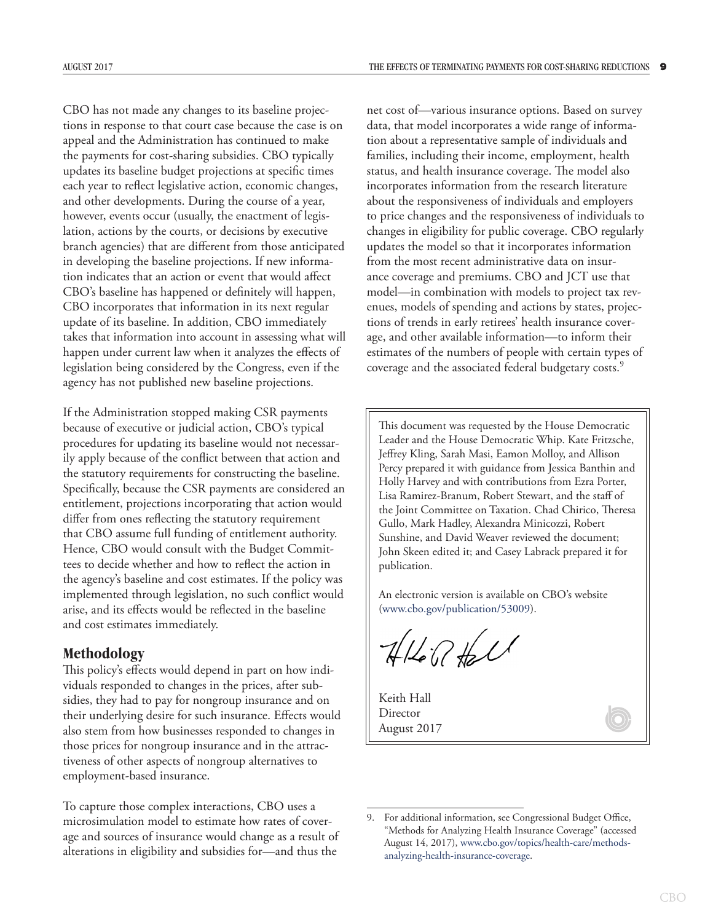CBO has not made any changes to its baseline projections in response to that court case because the case is on appeal and the Administration has continued to make the payments for cost-sharing subsidies. CBO typically updates its baseline budget projections at specific times each year to reflect legislative action, economic changes, and other developments. During the course of a year, however, events occur (usually, the enactment of legislation, actions by the courts, or decisions by executive branch agencies) that are different from those anticipated in developing the baseline projections. If new information indicates that an action or event that would affect CBO's baseline has happened or definitely will happen, CBO incorporates that information in its next regular update of its baseline. In addition, CBO immediately takes that information into account in assessing what will happen under current law when it analyzes the effects of legislation being considered by the Congress, even if the agency has not published new baseline projections.

If the Administration stopped making CSR payments because of executive or judicial action, CBO's typical procedures for updating its baseline would not necessarily apply because of the conflict between that action and the statutory requirements for constructing the baseline. Specifically, because the CSR payments are considered an entitlement, projections incorporating that action would differ from ones reflecting the statutory requirement that CBO assume full funding of entitlement authority. Hence, CBO would consult with the Budget Committees to decide whether and how to reflect the action in the agency's baseline and cost estimates. If the policy was implemented through legislation, no such conflict would arise, and its effects would be reflected in the baseline and cost estimates immediately.

# **Methodology**

This policy's effects would depend in part on how individuals responded to changes in the prices, after subsidies, they had to pay for nongroup insurance and on their underlying desire for such insurance. Effects would also stem from how businesses responded to changes in those prices for nongroup insurance and in the attractiveness of other aspects of nongroup alternatives to employment-based insurance.

To capture those complex interactions, CBO uses a microsimulation model to estimate how rates of coverage and sources of insurance would change as a result of alterations in eligibility and subsidies for—and thus the

net cost of—various insurance options. Based on survey data, that model incorporates a wide range of information about a representative sample of individuals and families, including their income, employment, health status, and health insurance coverage. The model also incorporates information from the research literature about the responsiveness of individuals and employers to price changes and the responsiveness of individuals to changes in eligibility for public coverage. CBO regularly updates the model so that it incorporates information from the most recent administrative data on insurance coverage and premiums. CBO and JCT use that model—in combination with models to project tax revenues, models of spending and actions by states, projections of trends in early retirees' health insurance coverage, and other available information—to inform their estimates of the numbers of people with certain types of coverage and the associated federal budgetary costs.9

This document was requested by the House Democratic Leader and the House Democratic Whip. Kate Fritzsche, Jeffrey Kling, Sarah Masi, Eamon Molloy, and Allison Percy prepared it with guidance from Jessica Banthin and Holly Harvey and with contributions from Ezra Porter, Lisa Ramirez-Branum, Robert Stewart, and the staff of the Joint Committee on Taxation. Chad Chirico, Theresa Gullo, Mark Hadley, Alexandra Minicozzi, Robert Sunshine, and David Weaver reviewed the document; John Skeen edited it; and Casey Labrack prepared it for publication.

An electronic version is available on CBO's website (www.cbo.gov/publication/53009).

 $11601$ 

Keith Hall Director August 2017

<sup>9.</sup> For additional information, see Congressional Budget Office, "Methods for Analyzing Health Insurance Coverage" (accessed August 14, 2017), [www.cbo.gov/topics/health-care/methods](http://www.cbo.gov/topics/health-care/methods-analyzing-health-insurance-coverage)[analyzing-health-insurance-coverage](http://www.cbo.gov/topics/health-care/methods-analyzing-health-insurance-coverage).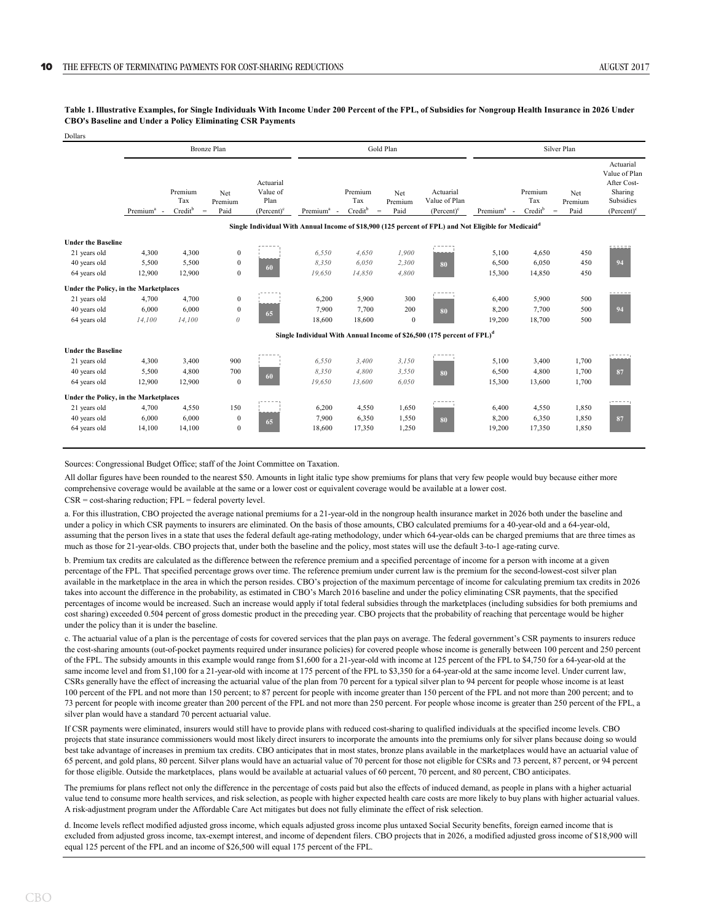Dollars

|                                       | <b>Bronze Plan</b>                                                                 |                                                                                                                                                                                                                                                                                                                                                                                                                                                    |                        |                                                         |                        |                              | Gold Plan                                                   |                                             | Silver Plan                                      |                                                                              |                        |                                                                                    |  |  |  |
|---------------------------------------|------------------------------------------------------------------------------------|----------------------------------------------------------------------------------------------------------------------------------------------------------------------------------------------------------------------------------------------------------------------------------------------------------------------------------------------------------------------------------------------------------------------------------------------------|------------------------|---------------------------------------------------------|------------------------|------------------------------|-------------------------------------------------------------|---------------------------------------------|--------------------------------------------------|------------------------------------------------------------------------------|------------------------|------------------------------------------------------------------------------------|--|--|--|
|                                       | Premium <sup>a</sup><br>$\sim$                                                     | Premium<br>Tax<br>Credit <sup>b</sup><br>$\quad = \quad % \qquad \frac{1}{2} \begin{bmatrix} \frac{1}{2} & \frac{1}{2} \frac{1}{2} & \frac{1}{2} \frac{1}{2} \frac{1}{2} & \frac{1}{2} \frac{1}{2} \frac{1}{2} \frac{1}{2} \frac{1}{2} \frac{1}{2} \frac{1}{2} \frac{1}{2} \frac{1}{2} \frac{1}{2} \frac{1}{2} \frac{1}{2} \frac{1}{2} \frac{1}{2} \frac{1}{2} \frac{1}{2} \frac{1}{2} \frac{1}{2} \frac{1}{2} \frac{1}{2} \frac{1}{2} \frac{1}{2$ | Net<br>Premium<br>Paid | Actuarial<br>Value of<br>Plan<br>(Percent) <sup>c</sup> | Premium <sup>a</sup> - | Premium<br>Tax<br>$Credit^b$ | Net<br>Premium<br>Paid<br>$\hspace{0.1in} = \hspace{0.1in}$ | Actuarial<br>Value of Plan<br>$(Percent)^c$ | Premium <sup>a</sup><br>$\overline{\phantom{a}}$ | Premium<br>Tax<br>Credit <sup>b</sup><br>$\hspace*{0.5cm} = \hspace*{0.5cm}$ | Net<br>Premium<br>Paid | Actuarial<br>Value of Plan<br>After Cost-<br>Sharing<br>Subsidies<br>$(Percent)^c$ |  |  |  |
|                                       |                                                                                    | Single Individual With Annual Income of \$18,900 (125 percent of FPL) and Not Eligible for Medicaid <sup>d</sup>                                                                                                                                                                                                                                                                                                                                   |                        |                                                         |                        |                              |                                                             |                                             |                                                  |                                                                              |                        |                                                                                    |  |  |  |
| <b>Under the Baseline</b>             |                                                                                    |                                                                                                                                                                                                                                                                                                                                                                                                                                                    |                        |                                                         |                        |                              |                                                             |                                             |                                                  |                                                                              |                        |                                                                                    |  |  |  |
| 21 years old                          | 4,300                                                                              | 4,300                                                                                                                                                                                                                                                                                                                                                                                                                                              | $\mathbf{0}$           |                                                         | 6,550                  | 4,650                        | 1,900                                                       |                                             | 5,100                                            | 4,650                                                                        | 450                    |                                                                                    |  |  |  |
| 40 years old                          | 5,500                                                                              | 5,500                                                                                                                                                                                                                                                                                                                                                                                                                                              | $\theta$               |                                                         | 8,350                  | 6,050                        | 2,300                                                       | 80                                          | 6,500                                            | 6,050                                                                        | 450                    | 94                                                                                 |  |  |  |
| 64 years old                          | 12,900                                                                             | 12,900                                                                                                                                                                                                                                                                                                                                                                                                                                             | $\boldsymbol{0}$       | 60                                                      | 19,650                 | 14,850                       | 4,800                                                       |                                             | 15,300                                           | 14,850                                                                       | 450                    |                                                                                    |  |  |  |
| Under the Policy, in the Marketplaces |                                                                                    |                                                                                                                                                                                                                                                                                                                                                                                                                                                    |                        |                                                         |                        |                              |                                                             |                                             |                                                  |                                                                              |                        | -----                                                                              |  |  |  |
| 21 years old                          | 4,700                                                                              | 4,700                                                                                                                                                                                                                                                                                                                                                                                                                                              | $\mathbf{0}$           |                                                         | 6,200                  | 5,900                        | 300                                                         |                                             | 6,400                                            | 5,900                                                                        | 500                    |                                                                                    |  |  |  |
| 40 years old                          | 6,000                                                                              | 6,000                                                                                                                                                                                                                                                                                                                                                                                                                                              | $\boldsymbol{0}$       | 65                                                      | 7,900                  | 7,700                        | 200                                                         | 80                                          | 8,200                                            | 7,700                                                                        | 500                    | 94                                                                                 |  |  |  |
| 64 years old                          | 14,100                                                                             | 14.100                                                                                                                                                                                                                                                                                                                                                                                                                                             | $\theta$               |                                                         | 18,600                 | 18,600                       | $\mathbf{0}$                                                |                                             | 19,200                                           | 18,700                                                                       | 500                    |                                                                                    |  |  |  |
|                                       | Single Individual With Annual Income of \$26,500 (175 percent of FPL) <sup>d</sup> |                                                                                                                                                                                                                                                                                                                                                                                                                                                    |                        |                                                         |                        |                              |                                                             |                                             |                                                  |                                                                              |                        |                                                                                    |  |  |  |
| <b>Under the Baseline</b>             |                                                                                    |                                                                                                                                                                                                                                                                                                                                                                                                                                                    |                        |                                                         |                        |                              |                                                             |                                             |                                                  |                                                                              |                        |                                                                                    |  |  |  |
| 21 years old                          | 4,300                                                                              | 3,400                                                                                                                                                                                                                                                                                                                                                                                                                                              | 900                    |                                                         | 6,550                  | 3,400                        | 3,150                                                       |                                             | 5,100                                            | 3,400                                                                        | 1,700                  |                                                                                    |  |  |  |
| 40 years old                          | 5,500                                                                              | 4,800                                                                                                                                                                                                                                                                                                                                                                                                                                              | 700                    | 60                                                      | 8,350                  | 4,800                        | 3,550                                                       | 80                                          | 6.500                                            | 4,800                                                                        | 1,700                  | 87                                                                                 |  |  |  |
| 64 years old                          | 12,900                                                                             | 12,900                                                                                                                                                                                                                                                                                                                                                                                                                                             | $\mathbf{0}$           |                                                         | 19,650                 | 13,600                       | 6,050                                                       |                                             | 15,300                                           | 13,600                                                                       | 1,700                  |                                                                                    |  |  |  |
| Under the Policy, in the Marketplaces |                                                                                    |                                                                                                                                                                                                                                                                                                                                                                                                                                                    |                        |                                                         |                        |                              |                                                             |                                             |                                                  |                                                                              |                        | $1 - 1 - 1 - 1$                                                                    |  |  |  |
| 21 years old                          | 4,700                                                                              | 4,550                                                                                                                                                                                                                                                                                                                                                                                                                                              | 150                    |                                                         | 6,200                  | 4,550                        | 1,650                                                       |                                             | 6,400                                            | 4,550                                                                        | 1,850                  |                                                                                    |  |  |  |
| 40 years old                          | 6,000                                                                              | 6,000                                                                                                                                                                                                                                                                                                                                                                                                                                              | $\mathbf{0}$           | 65                                                      | 7,900                  | 6,350                        | 1,550                                                       | 80                                          | 8,200                                            | 6,350                                                                        | 1,850                  | 87                                                                                 |  |  |  |
| 64 years old                          | 14,100                                                                             | 14.100                                                                                                                                                                                                                                                                                                                                                                                                                                             | $\boldsymbol{0}$       |                                                         | 18,600                 | 17,350                       | 1,250                                                       |                                             | 19,200                                           | 17,350                                                                       | 1,850                  |                                                                                    |  |  |  |
|                                       |                                                                                    |                                                                                                                                                                                                                                                                                                                                                                                                                                                    |                        |                                                         |                        |                              |                                                             |                                             |                                                  |                                                                              |                        |                                                                                    |  |  |  |

**Table 1. Illustrative Examples, for Single Individuals With Income Under 200 Percent of the FPL, of Subsidies for Nongroup Health Insurance in 2026 Under CBO's Baseline and Under a Policy Eliminating CSR Payments**

Sources: Congressional Budget Office; staff of the Joint Committee on Taxation.

All dollar figures have been rounded to the nearest \$50. Amounts in light italic type show premiums for plans that very few people would buy because either more comprehensive coverage would be available at the same or a lower cost or equivalent coverage would be available at a lower cost.

 $CSR = cost-sharing reduction; FPL = federal powerty level.$ 

a. For this illustration, CBO projected the average national premiums for a 21-year-old in the nongroup health insurance market in 2026 both under the baseline and under a policy in which CSR payments to insurers are eliminated. On the basis of those amounts, CBO calculated premiums for a 40-year-old and a 64-year-old, assuming that the person lives in a state that uses the federal default age-rating methodology, under which 64-year-olds can be charged premiums that are three times as much as those for 21-year-olds. CBO projects that, under both the baseline and the policy, most states will use the default 3-to-1 age-rating curve.

b. Premium tax credits are calculated as the difference between the reference premium and a specified percentage of income for a person with income at a given percentage of the FPL. That specified percentage grows over time. The reference premium under current law is the premium for the second-lowest-cost silver plan available in the marketplace in the area in which the person resides. CBO's projection of the maximum percentage of income for calculating premium tax credits in 2026 takes into account the difference in the probability, as estimated in CBO's March 2016 baseline and under the policy eliminating CSR payments, that the specified percentages of income would be increased. Such an increase would apply if total federal subsidies through the marketplaces (including subsidies for both premiums and cost sharing) exceeded 0.504 percent of gross domestic product in the preceding year. CBO projects that the probability of reaching that percentage would be higher under the policy than it is under the baseline.

c. The actuarial value of a plan is the percentage of costs for covered services that the plan pays on average. The federal government's CSR payments to insurers reduce the cost-sharing amounts (out-of-pocket payments required under insurance policies) for covered people whose income is generally between 100 percent and 250 percent of the FPL. The subsidy amounts in this example would range from \$1,600 for a 21-year-old with income at 125 percent of the FPL to \$4,750 for a 64-year-old at the same income level and from \$1,100 for a 21-year-old with income at 175 percent of the FPL to \$3,350 for a 64-year-old at the same income level. Under current law, CSRs generally have the effect of increasing the actuarial value of the plan from 70 percent for a typical silver plan to 94 percent for people whose income is at least 100 percent of the FPL and not more than 150 percent; to 87 percent for people with income greater than 150 percent of the FPL and not more than 200 percent; and to 73 percent for people with income greater than 200 percent of the FPL and not more than 250 percent. For people whose income is greater than 250 percent of the FPL, a silver plan would have a standard 70 percent actuarial value.

If CSR payments were eliminated, insurers would still have to provide plans with reduced cost-sharing to qualified individuals at the specified income levels. CBO projects that state insurance commissioners would most likely direct insurers to incorporate the amounts into the premiums only for silver plans because doing so would best take advantage of increases in premium tax credits. CBO anticipates that in most states, bronze plans available in the marketplaces would have an actuarial value of 65 percent, and gold plans, 80 percent. Silver plans would have an actuarial value of 70 percent for those not eligible for CSRs and 73 percent, 87 percent, or 94 percent for those eligible. Outside the marketplaces, plans would be available at actuarial values of 60 percent, 70 percent, and 80 percent, CBO anticipates.

The premiums for plans reflect not only the difference in the percentage of costs paid but also the effects of induced demand, as people in plans with a higher actuarial value tend to consume more health services, and risk selection, as people with higher expected health care costs are more likely to buy plans with higher actuarial values. A risk-adjustment program under the Affordable Care Act mitigates but does not fully eliminate the effect of risk selection.

d. Income levels reflect modified adjusted gross income, which equals adjusted gross income plus untaxed Social Security benefits, foreign earned income that is excluded from adjusted gross income, tax-exempt interest, and income of dependent filers. CBO projects that in 2026, a modified adjusted gross income of \$18,900 will equal 125 percent of the FPL and an income of \$26,500 will equal 175 percent of the FPL.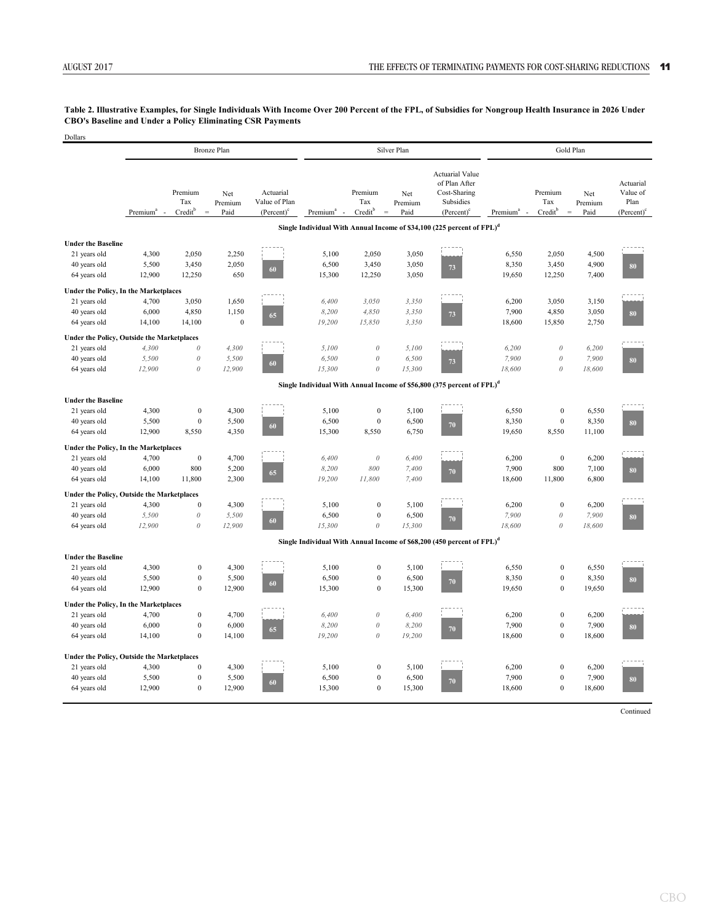#### **Table 2. Illustrative Examples, for Single Individuals With Income Over 200 Percent of the FPL, of Subsidies for Nongroup Health Insurance in 2026 Under CBO's Baseline and Under a Policy Eliminating CSR Payments**

| Dollars                                      |                      |                                                |                        |                                                      |                        |                                                   |                        |                                                                                       |                      |                                       |                                    |                                                |  |
|----------------------------------------------|----------------------|------------------------------------------------|------------------------|------------------------------------------------------|------------------------|---------------------------------------------------|------------------------|---------------------------------------------------------------------------------------|----------------------|---------------------------------------|------------------------------------|------------------------------------------------|--|
|                                              |                      |                                                | <b>Bronze Plan</b>     |                                                      |                        |                                                   | Silver Plan            |                                                                                       | Gold Plan            |                                       |                                    |                                                |  |
|                                              | Premium <sup>a</sup> | Premium<br>Tax<br>Creditb<br>$\qquad \qquad =$ | Net<br>Premium<br>Paid | Actuarial<br>Value of Plan<br>(Percent) <sup>c</sup> | Premium <sup>a</sup> - | Premium<br>Tax<br>Credit <sup>b</sup><br>$\equiv$ | Net<br>Premium<br>Paid | <b>Actuarial Value</b><br>of Plan After<br>Cost-Sharing<br>Subsidies<br>$(Percent)^c$ | Premium <sup>a</sup> | Premium<br>Tax<br>Credit <sup>b</sup> | Net<br>Premium<br>$\equiv$<br>Paid | Actuarial<br>Value of<br>Plan<br>$(Percent)^c$ |  |
|                                              |                      |                                                |                        |                                                      |                        |                                                   |                        | Single Individual With Annual Income of \$34,100 (225 percent of FPL) <sup>d</sup>    |                      |                                       |                                    |                                                |  |
| <b>Under the Baseline</b>                    |                      |                                                |                        |                                                      |                        |                                                   |                        |                                                                                       |                      |                                       |                                    |                                                |  |
| 21 years old                                 | 4,300                | 2,050                                          | 2,250                  |                                                      | 5,100                  | 2,050                                             | 3,050                  |                                                                                       | 6,550                | 2,050                                 | 4,500                              |                                                |  |
| 40 years old                                 | 5,500                | 3,450                                          | 2,050                  |                                                      | 6,500                  | 3,450                                             | 3,050                  |                                                                                       | 8,350                | 3,450                                 | 4,900                              |                                                |  |
| 64 years old                                 | 12,900               | 12,250                                         | 650                    | 60                                                   | 15,300                 | 12,250                                            | 3,050                  | $73\,$                                                                                | 19,650               | 12,250                                | 7,400                              | 80                                             |  |
| Under the Policy, In the Marketplaces        |                      |                                                |                        |                                                      |                        |                                                   |                        |                                                                                       |                      |                                       |                                    |                                                |  |
| 21 years old                                 | 4,700                | 3,050                                          | 1,650                  |                                                      | 6,400                  | 3,050                                             | 3,350                  |                                                                                       | 6,200                | 3,050                                 | 3,150                              |                                                |  |
| 40 years old                                 | 6,000                | 4,850                                          | 1,150                  |                                                      | 8,200                  | 4,850                                             | 3,350                  |                                                                                       | 7,900                | 4,850                                 | 3,050                              |                                                |  |
| 64 years old                                 | 14,100               | 14,100                                         | $\boldsymbol{0}$       | 65                                                   | 19,200                 | 15,850                                            | 3,350                  | $73\,$                                                                                | 18,600               | 15,850                                | 2,750                              | 80                                             |  |
| Under the Policy, Outside the Marketplaces   |                      |                                                |                        |                                                      |                        |                                                   |                        |                                                                                       |                      |                                       |                                    |                                                |  |
| 21 years old                                 | 4.300                | $\boldsymbol{\theta}$                          | 4,300                  |                                                      | 5,100                  | $\theta$                                          | 5,100                  |                                                                                       | 6,200                | $\boldsymbol{\theta}$                 | 6,200                              |                                                |  |
| 40 years old                                 | 5,500                | $\boldsymbol{\theta}$                          | 5,500                  |                                                      | 6,500                  | $\theta$                                          | 6,500                  |                                                                                       | 7,900                | $\boldsymbol{\theta}$                 | 7,900                              | 80                                             |  |
| 64 years old                                 | 12,900               | $\boldsymbol{\theta}$                          | 12,900                 | 60                                                   | 15,300                 | $\theta$                                          | 15,300                 | $73\,$                                                                                | 18,600               | $\theta$                              | 18,600                             |                                                |  |
|                                              |                      |                                                |                        |                                                      |                        |                                                   |                        | Single Individual With Annual Income of \$56,800 (375 percent of FPL) <sup>d</sup>    |                      |                                       |                                    |                                                |  |
| <b>Under the Baseline</b>                    |                      |                                                |                        |                                                      |                        |                                                   |                        |                                                                                       |                      |                                       |                                    |                                                |  |
| 21 years old                                 | 4,300                | $\boldsymbol{0}$                               | 4,300                  |                                                      | 5,100                  | $\boldsymbol{0}$                                  | 5,100                  |                                                                                       | 6,550                | $\boldsymbol{0}$                      | 6,550                              |                                                |  |
| 40 years old                                 | 5,500                | $\theta$                                       | 5,500                  |                                                      | 6,500                  | $\mathbf{0}$                                      | 6,500                  | 70                                                                                    | 8,350                | $\boldsymbol{0}$                      | 8,350                              | 80                                             |  |
| 64 years old                                 | 12,900               | 8,550                                          | 4,350                  | 60                                                   | 15,300                 | 8,550                                             | 6,750                  |                                                                                       | 19,650               | 8,550                                 | 11,100                             |                                                |  |
| <b>Under the Policy, In the Marketplaces</b> |                      |                                                |                        |                                                      |                        |                                                   |                        |                                                                                       |                      |                                       |                                    |                                                |  |
| 21 years old                                 | 4,700                | $\boldsymbol{0}$                               | 4,700                  |                                                      | 6,400                  | $\theta$                                          | 6,400                  |                                                                                       | 6,200                | $\boldsymbol{0}$                      | 6,200                              |                                                |  |
| 40 years old                                 | 6,000                | 800                                            | 5,200                  | 65                                                   | 8,200                  | 800                                               | 7,400                  | 70                                                                                    | 7,900                | 800                                   | 7,100                              | 80                                             |  |
| 64 years old                                 | 14,100               | 11,800                                         | 2,300                  |                                                      | 19,200                 | $\it 11,800$                                      | 7,400                  |                                                                                       | 18,600               | 11,800                                | 6,800                              |                                                |  |
| Under the Policy, Outside the Marketplaces   |                      |                                                |                        |                                                      |                        |                                                   |                        |                                                                                       |                      |                                       |                                    |                                                |  |
| 21 years old                                 | 4,300                | $\boldsymbol{0}$                               | 4,300                  |                                                      | 5,100                  | $\boldsymbol{0}$                                  | 5,100                  |                                                                                       | 6,200                | $\mathbf{0}$                          | 6,200                              |                                                |  |
| 40 years old                                 | 5,500                | $\boldsymbol{\theta}$                          | 5,500                  | 60                                                   | 6,500                  | $\boldsymbol{0}$                                  | 6,500                  | $70\,$                                                                                | 7,900                | $\mathcal O$                          | 7,900                              | 80                                             |  |
| 64 years old                                 | 12,900               | $\boldsymbol{\theta}$                          | 12,900                 |                                                      | 15,300                 | $\theta$                                          | 15,300                 |                                                                                       | 18,600               | $\mathcal O$                          | 18,600                             |                                                |  |
|                                              |                      |                                                |                        |                                                      |                        |                                                   |                        | Single Individual With Annual Income of \$68,200 (450 percent of FPL) <sup>d</sup>    |                      |                                       |                                    |                                                |  |
| <b>Under the Baseline</b>                    |                      |                                                |                        |                                                      |                        |                                                   |                        |                                                                                       |                      |                                       |                                    |                                                |  |
| 21 years old                                 | 4,300                | $\boldsymbol{0}$                               | 4,300                  |                                                      | 5,100                  | $\boldsymbol{0}$                                  | 5,100                  |                                                                                       | 6,550                | $\boldsymbol{0}$                      | 6,550                              |                                                |  |
| 40 years old                                 | 5,500                | $\boldsymbol{0}$                               | 5,500                  | 60                                                   | 6,500                  | $\boldsymbol{0}$                                  | 6,500                  | 70                                                                                    | 8,350                | $\boldsymbol{0}$                      | 8,350                              | 80                                             |  |
| 64 years old                                 | 12,900               | $\mathbf{0}$                                   | 12,900                 |                                                      | 15,300                 | $\boldsymbol{0}$                                  | 15,300                 |                                                                                       | 19,650               | $\mathbf{0}$                          | 19,650                             |                                                |  |
| <b>Under the Policy, In the Marketplaces</b> |                      |                                                |                        |                                                      |                        |                                                   |                        |                                                                                       |                      |                                       |                                    |                                                |  |
| 21 years old                                 | 4,700                | $\boldsymbol{0}$                               | 4,700                  |                                                      | 6,400                  | $\boldsymbol{\theta}$                             | 6,400                  |                                                                                       | 6,200                | $\boldsymbol{0}$                      | 6,200                              |                                                |  |
| 40 years old                                 | 6,000                | $\boldsymbol{0}$                               | 6,000                  | 65                                                   | 8,200                  | $\boldsymbol{\theta}$                             | 8,200                  | $70\,$                                                                                | 7,900                | $\boldsymbol{0}$                      | 7,900                              | 80                                             |  |
| 64 years old                                 | 14,100               | $\boldsymbol{0}$                               | 14,100                 |                                                      | 19,200                 | $\boldsymbol{\theta}$                             | 19,200                 |                                                                                       | 18,600               | $\mathbf{0}$                          | 18,600                             |                                                |  |
| Under the Policy, Outside the Marketplaces   |                      |                                                |                        |                                                      |                        |                                                   |                        |                                                                                       |                      |                                       |                                    |                                                |  |
| 21 years old                                 | 4,300                | $\mathbf{0}$                                   | 4,300                  |                                                      | 5,100                  | $\boldsymbol{0}$                                  | 5,100                  |                                                                                       | 6,200                | $\boldsymbol{0}$                      | 6,200                              |                                                |  |
| 40 years old                                 | 5,500                | $\mathbf{0}$                                   | 5,500                  | 60                                                   | 6,500                  | $\mathbf{0}$                                      | 6,500                  | 70                                                                                    | 7,900                | $\mathbf{0}$                          | 7,900                              | 80                                             |  |
| 64 years old                                 | 12,900               | $\mathbf{0}$                                   | 12,900                 |                                                      | 15,300                 | $\mathbf{0}$                                      | 15,300                 |                                                                                       | 18,600               | $\mathbf{0}$                          | 18,600                             |                                                |  |

Continued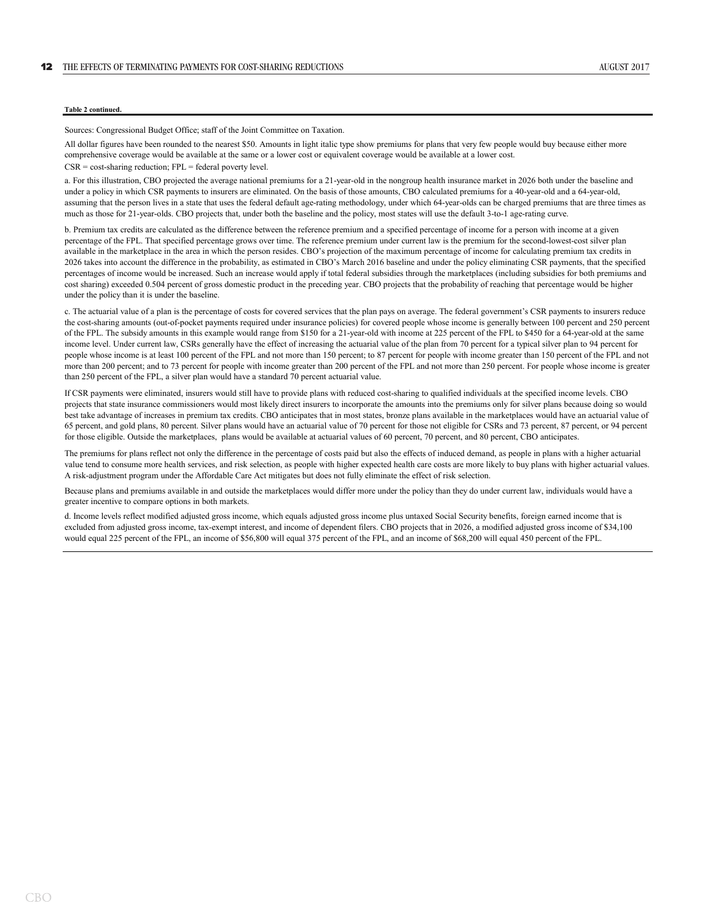#### **Table 2 continued.**

Sources: Congressional Budget Office; staff of the Joint Committee on Taxation.

All dollar figures have been rounded to the nearest \$50. Amounts in light italic type show premiums for plans that very few people would buy because either more comprehensive coverage would be available at the same or a lower cost or equivalent coverage would be available at a lower cost.

CSR = cost-sharing reduction; FPL = federal poverty level.

a. For this illustration, CBO projected the average national premiums for a 21-year-old in the nongroup health insurance market in 2026 both under the baseline and under a policy in which CSR payments to insurers are eliminated. On the basis of those amounts, CBO calculated premiums for a 40-year-old and a 64-year-old, assuming that the person lives in a state that uses the federal default age-rating methodology, under which 64-year-olds can be charged premiums that are three times as much as those for 21-year-olds. CBO projects that, under both the baseline and the policy, most states will use the default 3-to-1 age-rating curve.

b. Premium tax credits are calculated as the difference between the reference premium and a specified percentage of income for a person with income at a given percentage of the FPL. That specified percentage grows over time. The reference premium under current law is the premium for the second-lowest-cost silver plan available in the marketplace in the area in which the person resides. CBO's projection of the maximum percentage of income for calculating premium tax credits in 2026 takes into account the difference in the probability, as estimated in CBO's March 2016 baseline and under the policy eliminating CSR payments, that the specified percentages of income would be increased. Such an increase would apply if total federal subsidies through the marketplaces (including subsidies for both premiums and cost sharing) exceeded 0.504 percent of gross domestic product in the preceding year. CBO projects that the probability of reaching that percentage would be higher under the policy than it is under the baseline.

c. The actuarial value of a plan is the percentage of costs for covered services that the plan pays on average. The federal government's CSR payments to insurers reduce the cost-sharing amounts (out-of-pocket payments required under insurance policies) for covered people whose income is generally between 100 percent and 250 percent of the FPL. The subsidy amounts in this example would range from \$150 for a 21-year-old with income at 225 percent of the FPL to \$450 for a 64-year-old at the same income level. Under current law, CSRs generally have the effect of increasing the actuarial value of the plan from 70 percent for a typical silver plan to 94 percent for people whose income is at least 100 percent of the FPL and not more than 150 percent; to 87 percent for people with income greater than 150 percent of the FPL and not more than 200 percent; and to 73 percent for people with income greater than 200 percent of the FPL and not more than 250 percent. For people whose income is greater than 250 percent of the FPL, a silver plan would have a standard 70 percent actuarial value.

If CSR payments were eliminated, insurers would still have to provide plans with reduced cost-sharing to qualified individuals at the specified income levels. CBO projects that state insurance commissioners would most likely direct insurers to incorporate the amounts into the premiums only for silver plans because doing so would best take advantage of increases in premium tax credits. CBO anticipates that in most states, bronze plans available in the marketplaces would have an actuarial value of 65 percent, and gold plans, 80 percent. Silver plans would have an actuarial value of 70 percent for those not eligible for CSRs and 73 percent, 87 percent, or 94 percent for those eligible. Outside the marketplaces, plans would be available at actuarial values of 60 percent, 70 percent, and 80 percent, CBO anticipates.

The premiums for plans reflect not only the difference in the percentage of costs paid but also the effects of induced demand, as people in plans with a higher actuarial value tend to consume more health services, and risk selection, as people with higher expected health care costs are more likely to buy plans with higher actuarial values. A risk-adjustment program under the Affordable Care Act mitigates but does not fully eliminate the effect of risk selection.

Because plans and premiums available in and outside the marketplaces would differ more under the policy than they do under current law, individuals would have a greater incentive to compare options in both markets.

d. Income levels reflect modified adjusted gross income, which equals adjusted gross income plus untaxed Social Security benefits, foreign earned income that is excluded from adjusted gross income, tax-exempt interest, and income of dependent filers. CBO projects that in 2026, a modified adjusted gross income of \$34,100 would equal 225 percent of the FPL, an income of \$56,800 will equal 375 percent of the FPL, and an income of \$68,200 will equal 450 percent of the FPL.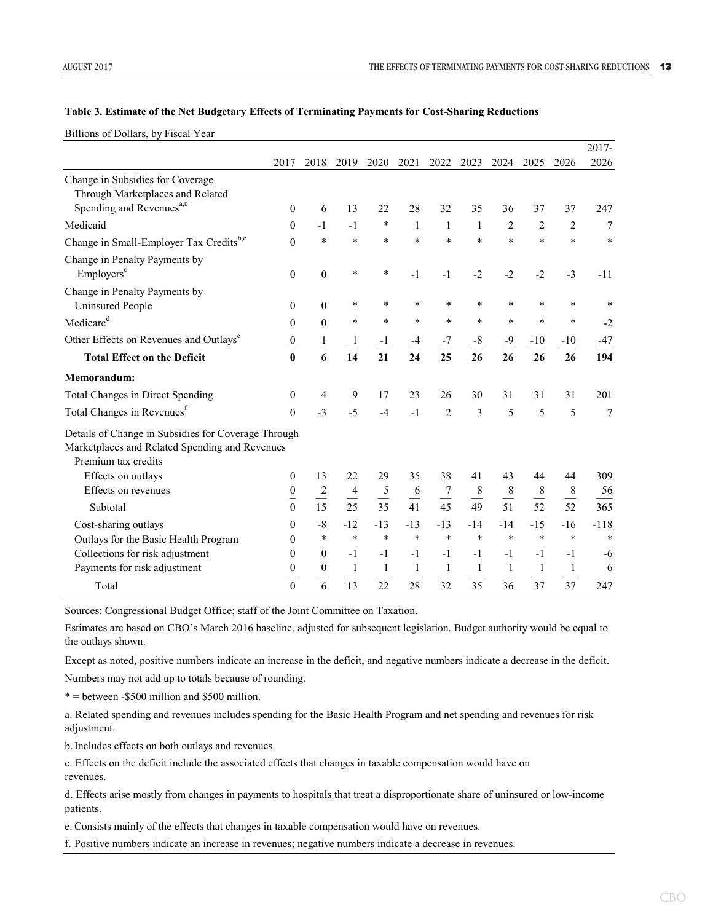#### **Table 3. Estimate of the Net Budgetary Effects of Terminating Payments for Cost-Sharing Reductions**

Billions of Dollars, by Fiscal Year

|                                                                                                                              |                   |                      |                |                               |                |                               |                                            |                                     |              |                                            | 2017-          |
|------------------------------------------------------------------------------------------------------------------------------|-------------------|----------------------|----------------|-------------------------------|----------------|-------------------------------|--------------------------------------------|-------------------------------------|--------------|--------------------------------------------|----------------|
|                                                                                                                              | 2017              | 2018                 | 2019           | 2020                          | 2021           | 2022                          | 2023                                       | 2024                                | 2025         | 2026                                       | 2026           |
| Change in Subsidies for Coverage<br>Through Marketplaces and Related                                                         |                   |                      |                |                               |                |                               |                                            |                                     |              |                                            |                |
| Spending and Revenues <sup>a,b</sup>                                                                                         | $\theta$          | 6                    | 13             | 22                            | 28             | 32                            | 35                                         | 36                                  | 37           | 37                                         | 247            |
| Medicaid                                                                                                                     | $\theta$          | $-1$                 | $-1$           | *                             | 1              | 1                             | 1                                          | 2                                   | 2            | 2                                          | 7              |
| Change in Small-Employer Tax Creditsb,c                                                                                      | $\theta$          | *                    | *              | *                             | *              | *                             | $\ast$                                     | $\ast$                              | $\ast$       | *                                          | $\ast$         |
| Change in Penalty Payments by<br>Employers <sup>c</sup>                                                                      | $\theta$          | $\boldsymbol{0}$     | *              | $\ast$                        | $-1$           | $-1$                          | $-2$                                       | $-2$                                | $-2$         | $-3$                                       | $-11$          |
| Change in Penalty Payments by<br><b>Uninsured People</b>                                                                     | $\theta$          | $\boldsymbol{0}$     | $\ast$         | *                             | *              | $\ast$                        | $\ast$                                     | *                                   | *            | *                                          | $\ast$         |
| Medicare <sup>d</sup>                                                                                                        | $\theta$          | $\theta$             | *              | $\ast$                        | *              | $\ast$                        | $\ast$                                     | $\ast$                              | $\ast$       | $\ast$                                     | $-2$           |
| Other Effects on Revenues and Outlays <sup>e</sup>                                                                           | 0                 | $\mathbf{1}$         | 1              | $-1$                          | $-4$           | $-7$                          | $\text{-}8$                                | $-9$                                | $-10$        | $-10$                                      | $-47$          |
| <b>Total Effect on the Deficit</b>                                                                                           | -<br>$\mathbf{0}$ | 6                    | 14             | 21                            | 24             | 25                            | 26                                         | 26                                  | 26           | 26                                         | 194            |
| Memorandum:                                                                                                                  |                   |                      |                |                               |                |                               |                                            |                                     |              |                                            |                |
| Total Changes in Direct Spending                                                                                             | $\boldsymbol{0}$  | 4                    | 9              | 17                            | 23             | 26                            | 30                                         | 31                                  | 31           | 31                                         | 201            |
| Total Changes in Revenues <sup>f</sup>                                                                                       | $\Omega$          | $-3$                 | $-5$           | $-4$                          | $-1$           | $\overline{2}$                | 3                                          | 5                                   | 5            | 5                                          | $\overline{7}$ |
| Details of Change in Subsidies for Coverage Through<br>Marketplaces and Related Spending and Revenues<br>Premium tax credits |                   |                      |                |                               |                |                               |                                            |                                     |              |                                            |                |
| Effects on outlays                                                                                                           | $\mathbf{0}$      | 13                   | 22             | 29                            | 35             | 38                            | 41                                         | 43                                  | 44           | 44                                         | 309            |
| Effects on revenues                                                                                                          | $\boldsymbol{0}$  | $\frac{2}{\sqrt{2}}$ | 4              | 5<br>$\overline{\phantom{0}}$ | 6              | 7<br>$\overline{\phantom{0}}$ | $8\phantom{1}$<br>$\overline{\phantom{0}}$ | $\,8\,$<br>$\overline{\phantom{0}}$ | $\,$ 8 $\,$  | $8\phantom{1}$<br>$\overline{\phantom{0}}$ | 56             |
| Subtotal                                                                                                                     | $\theta$          | 15                   | 25             | 35                            | 41             | 45                            | 49                                         | 51                                  | 52           | 52                                         | 365            |
| Cost-sharing outlays                                                                                                         | $\theta$          | $-8$                 | $-12$          | $-13$                         | $-13$          | $-13$                         | $-14$                                      | $-14$                               | $-15$        | -16                                        | $-118$         |
| Outlays for the Basic Health Program                                                                                         | $\theta$          | $\ast$               | $\ast$         | $\ast$                        | $\ast$         | $\ast$                        | $\ast$                                     | $\ast$                              | $\ast$       | $\ast$                                     | $\ast$         |
| Collections for risk adjustment                                                                                              | 0                 | $\theta$             | $-1$           | $-1$                          | $-1$           | $-1$                          | $-1$                                       | $-1$                                | $-1$         | $-1$                                       | $-6$           |
| Payments for risk adjustment                                                                                                 | $\mathbf{0}$      | $\theta$             | $\mathbf{1}$   | $\mathbf{1}$                  | $\mathbf{1}$   | $\mathbf{1}$                  | $\mathbf{1}$                               | $\mathbf{1}$                        | $\mathbf{1}$ | $\mathbf{1}$                               | 6              |
| Total                                                                                                                        | $\theta$          | 6                    | $\frac{1}{13}$ | $\frac{1}{22}$                | $\frac{1}{28}$ | $\frac{1}{32}$                | $\frac{1}{35}$                             | 36                                  | 37           | 37                                         | 247            |

Sources: Congressional Budget Office; staff of the Joint Committee on Taxation.

Estimates are based on CBO's March 2016 baseline, adjusted for subsequent legislation. Budget authority would be equal to the outlays shown.

Except as noted, positive numbers indicate an increase in the deficit, and negative numbers indicate a decrease in the deficit. Numbers may not add up to totals because of rounding.

 $* =$  between -\$500 million and \$500 million.

a. Related spending and revenues includes spending for the Basic Health Program and net spending and revenues for risk adjustment.

b.Includes effects on both outlays and revenues.

c. Effects on the deficit include the associated effects that changes in taxable compensation would have on revenues.

d. Effects arise mostly from changes in payments to hospitals that treat a disproportionate share of uninsured or low-income patients.

e. Consists mainly of the effects that changes in taxable compensation would have on revenues.

f. Positive numbers indicate an increase in revenues; negative numbers indicate a decrease in revenues.